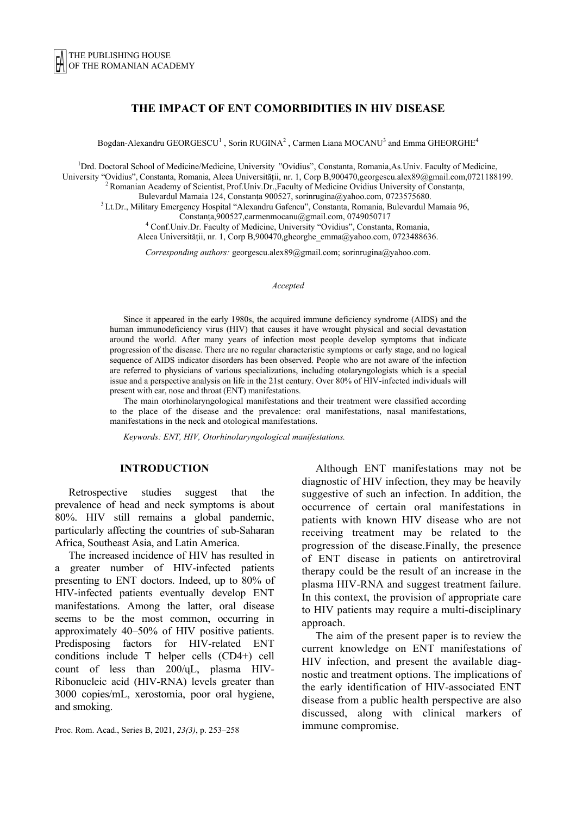# **THE IMPACT OF ENT COMORBIDITIES IN HIV DISEASE**

Bogdan-Alexandru GEORGESCU<sup>1</sup>, Sorin RUGINA<sup>2</sup>, Carmen Liana MOCANU<sup>3</sup> and Emma GHEORGHE<sup>4</sup>

<sup>1</sup>Drd. Doctoral School of Medicine/Medicine, University "Ovidius", Constanta, Romania,As.Univ. Faculty of Medicine, University "Ovidius", Constanta, Romania, Aleea Universității, nr. 1, Corp B,900470,georgescu.alex89@gmail.com,0721188199. 2 Romanian Academy of Scientist, Prof.Univ.Dr.,Faculty of Medicine Ovidius University of Constanța,

Bulevardul Mamaia 124, Constanța 900527, sorinrugina@yahoo.com, 0723575680. 3 Lt.Dr., Military Emergency Hospital "Alexandru Gafencu", Constanta, Romania, Bulevardul Mamaia 96,

Constanța,900527,carmenmocanu@gmail.com, 0749050717 4

Conf.Univ.Dr. Faculty of Medicine, University "Ovidius", Constanta, Romania,

Aleea Universității, nr. 1, Corp B,900470,gheorghe\_emma@yahoo.com, 0723488636.

*Corresponding authors:* georgescu.alex89@gmail.com; sorinrugina@yahoo.com.

*Accepted*

Since it appeared in the early 1980s, the acquired immune deficiency syndrome (AIDS) and the human immunodeficiency virus (HIV) that causes it have wrought physical and social devastation around the world. After many years of infection most people develop symptoms that indicate progression of the disease. There are no regular characteristic symptoms or early stage, and no logical sequence of AIDS indicator disorders has been observed. People who are not aware of the infection are referred to physicians of various specializations, including otolaryngologists which is a special issue and a perspective analysis on life in the 21st century. Over 80% of HIV-infected individuals will present with ear, nose and throat (ENT) manifestations.

The main otorhinolaryngological manifestations and their treatment were classified according to the place of the disease and the prevalence: oral manifestations, nasal manifestations, manifestations in the neck and otological manifestations.

*Keywords: ENT, HIV, Otorhinolaryngological manifestations.* 

#### **INTRODUCTION**

Retrospective studies suggest that the prevalence of head and neck symptoms is about 80%. HIV still remains a global pandemic, particularly affecting the countries of sub-Saharan Africa, Southeast Asia, and Latin America.

The increased incidence of HIV has resulted in a greater number of HIV-infected patients presenting to ENT doctors. Indeed, up to 80% of HIV-infected patients eventually develop ENT manifestations. Among the latter, oral disease seems to be the most common, occurring in approximately 40–50% of HIV positive patients. Predisposing factors for HIV-related ENT conditions include T helper cells (CD4+) cell count of less than 200/ųL, plasma HIV-Ribonucleic acid (HIV-RNA) levels greater than 3000 copies/mL, xerostomia, poor oral hygiene, and smoking.

Proc. Rom. Acad., Series B, 2021, *23(3)*, p. 253–258

Although ENT manifestations may not be diagnostic of HIV infection, they may be heavily suggestive of such an infection. In addition, the occurrence of certain oral manifestations in patients with known HIV disease who are not receiving treatment may be related to the progression of the disease.Finally, the presence of ENT disease in patients on antiretroviral therapy could be the result of an increase in the plasma HIV-RNA and suggest treatment failure. In this context, the provision of appropriate care to HIV patients may require a multi-disciplinary approach.

The aim of the present paper is to review the current knowledge on ENT manifestations of HIV infection, and present the available diagnostic and treatment options. The implications of the early identification of HIV-associated ENT disease from a public health perspective are also discussed, along with clinical markers of immune compromise.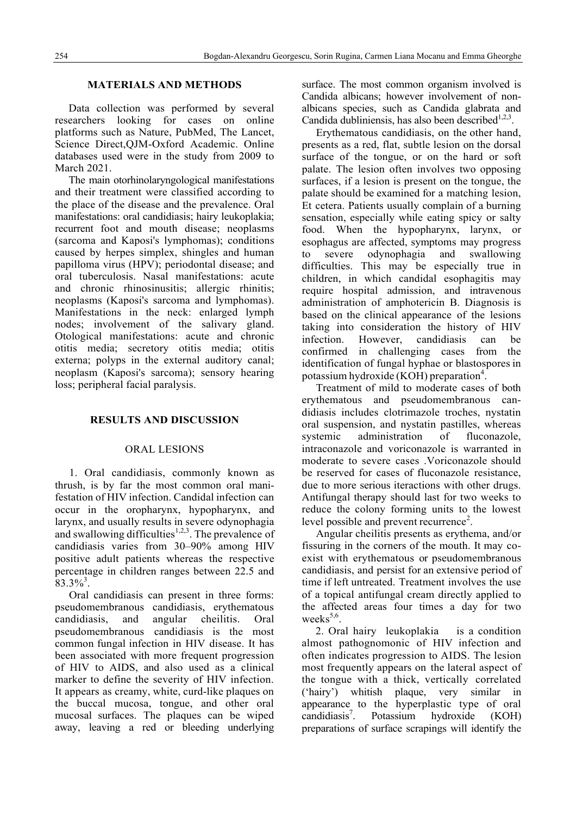# **MATERIALS AND METHODS**

Data collection was performed by several researchers looking for cases on online platforms such as Nature, PubMed, The Lancet, Science Direct,QJM-Oxford Academic. Online databases used were in the study from 2009 to March 2021.

The main otorhinolaryngological manifestations and their treatment were classified according to the place of the disease and the prevalence. Oral manifestations: oral candidiasis; hairy leukoplakia; recurrent foot and mouth disease; neoplasms (sarcoma and Kaposi's lymphomas); conditions caused by herpes simplex, shingles and human papilloma virus (HPV); periodontal disease; and oral tuberculosis. Nasal manifestations: acute and chronic rhinosinusitis; allergic rhinitis; neoplasms (Kaposi's sarcoma and lymphomas). Manifestations in the neck: enlarged lymph nodes; involvement of the salivary gland. Otological manifestations: acute and chronic otitis media; secretory otitis media; otitis externa; polyps in the external auditory canal; neoplasm (Kaposi's sarcoma); sensory hearing loss; peripheral facial paralysis.

### **RESULTS AND DISCUSSION**

#### ORAL LESIONS

1. Oral candidiasis, commonly known as thrush, is by far the most common oral manifestation of HIV infection. Candidal infection can occur in the oropharynx, hypopharynx, and larynx, and usually results in severe odynophagia and swallowing difficulties<sup>1,2,3</sup>. The prevalence of candidiasis varies from 30–90% among HIV positive adult patients whereas the respective percentage in children ranges between 22.5 and  $83.3\%$ <sup>3</sup>.

Oral candidiasis can present in three forms: pseudomembranous candidiasis, erythematous candidiasis, and angular cheilitis. Oral pseudomembranous candidiasis is the most common fungal infection in HIV disease. It has been associated with more frequent progression of HIV to AIDS, and also used as a clinical marker to define the severity of HIV infection. It appears as creamy, white, curd-like plaques on the buccal mucosa, tongue, and other oral mucosal surfaces. The plaques can be wiped away, leaving a red or bleeding underlying surface. The most common organism involved is Candida albicans; however involvement of nonalbicans species, such as Candida glabrata and Candida dubliniensis, has also been described $1,2,3$ .

Erythematous candidiasis, on the other hand, presents as a red, flat, subtle lesion on the dorsal surface of the tongue, or on the hard or soft palate. The lesion often involves two opposing surfaces, if a lesion is present on the tongue, the palate should be examined for a matching lesion, Et cetera. Patients usually complain of a burning sensation, especially while eating spicy or salty food. When the hypopharynx, larynx, or esophagus are affected, symptoms may progress to severe odynophagia and swallowing difficulties. This may be especially true in children, in which candidal esophagitis may require hospital admission, and intravenous administration of amphotericin B. Diagnosis is based on the clinical appearance of the lesions taking into consideration the history of HIV infection. However, candidiasis can be confirmed in challenging cases from the identification of fungal hyphae or blastospores in potassium hydroxide (KOH) preparation<sup>4</sup>.

Treatment of mild to moderate cases of both erythematous and pseudomembranous candidiasis includes clotrimazole troches, nystatin oral suspension, and nystatin pastilles, whereas systemic administration of fluconazole, intraconazole and voriconazole is warranted in moderate to severe cases .Voriconazole should be reserved for cases of fluconazole resistance, due to more serious iteractions with other drugs. Antifungal therapy should last for two weeks to reduce the colony forming units to the lowest level possible and prevent recurrence<sup>2</sup>.

Angular cheilitis presents as erythema, and/or fissuring in the corners of the mouth. It may coexist with erythematous or pseudomembranous candidiasis, and persist for an extensive period of time if left untreated. Treatment involves the use of a topical antifungal cream directly applied to the affected areas four times a day for two weeks $5,6$ .

2. Oral hairy leukoplakia is a condition almost pathognomonic of HIV infection and often indicates progression to AIDS. The lesion most frequently appears on the lateral aspect of the tongue with a thick, vertically correlated ('hairy') whitish plaque, very similar in appearance to the hyperplastic type of oral candidiasis<sup>7</sup>. . Potassium hydroxide (KOH) preparations of surface scrapings will identify the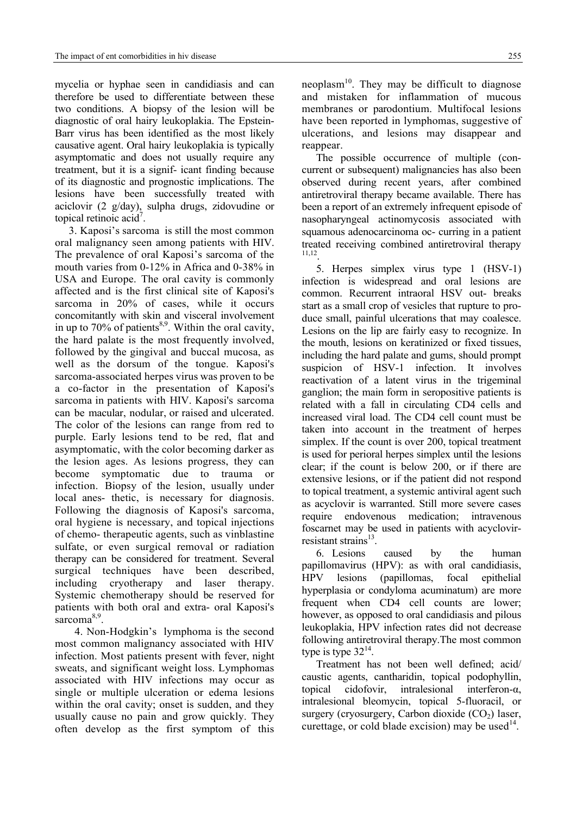mycelia or hyphae seen in candidiasis and can therefore be used to differentiate between these two conditions. A biopsy of the lesion will be diagnostic of oral hairy leukoplakia. The Epstein-Barr virus has been identified as the most likely causative agent. Oral hairy leukoplakia is typically asymptomatic and does not usually require any treatment, but it is a signif- icant finding because of its diagnostic and prognostic implications. The lesions have been successfully treated with aciclovir (2 g/day), sulpha drugs, zidovudine or topical retinoic acid<sup>7</sup>.

3. Kaposi's sarcoma is still the most common oral malignancy seen among patients with HIV. The prevalence of oral Kaposi's sarcoma of the mouth varies from 0-12% in Africa and 0-38% in USA and Europe. The oral cavity is commonly affected and is the first clinical site of Kaposi's sarcoma in 20% of cases, while it occurs concomitantly with skin and visceral involvement in up to  $70\%$  of patients<sup>8,9</sup>. Within the oral cavity, the hard palate is the most frequently involved, followed by the gingival and buccal mucosa, as well as the dorsum of the tongue. Kaposi's sarcoma-associated herpes virus was proven to be a co-factor in the presentation of Kaposi's sarcoma in patients with HIV. Kaposi's sarcoma can be macular, nodular, or raised and ulcerated. The color of the lesions can range from red to purple. Early lesions tend to be red, flat and asymptomatic, with the color becoming darker as the lesion ages. As lesions progress, they can become symptomatic due to trauma or infection. Biopsy of the lesion, usually under local anes- thetic, is necessary for diagnosis. Following the diagnosis of Kaposi's sarcoma, oral hygiene is necessary, and topical injections of chemo- therapeutic agents, such as vinblastine sulfate, or even surgical removal or radiation therapy can be considered for treatment. Several surgical techniques have been described, including cryotherapy and laser therapy. Systemic chemotherapy should be reserved for patients with both oral and extra- oral Kaposi's sarcoma<sup>8,9</sup>.

 4. Non-Hodgkin's lymphoma is the second most common malignancy associated with HIV infection. Most patients present with fever, night sweats, and significant weight loss. Lymphomas associated with HIV infections may occur as single or multiple ulceration or edema lesions within the oral cavity; onset is sudden, and they usually cause no pain and grow quickly. They often develop as the first symptom of this

neoplasm<sup>10</sup>. They may be difficult to diagnose and mistaken for inflammation of mucous membranes or parodontium. Multifocal lesions have been reported in lymphomas, suggestive of ulcerations, and lesions may disappear and reappear.

The possible occurrence of multiple (concurrent or subsequent) malignancies has also been observed during recent years, after combined antiretroviral therapy became available. There has been a report of an extremely infrequent episode of nasopharyngeal actinomycosis associated with squamous adenocarcinoma oc- curring in a patient treated receiving combined antiretroviral therapy 11,12.

5. Herpes simplex virus type 1 (HSV-1) infection is widespread and oral lesions are common. Recurrent intraoral HSV out- breaks start as a small crop of vesicles that rupture to produce small, painful ulcerations that may coalesce. Lesions on the lip are fairly easy to recognize. In the mouth, lesions on keratinized or fixed tissues, including the hard palate and gums, should prompt suspicion of HSV-1 infection. It involves reactivation of a latent virus in the trigeminal ganglion; the main form in seropositive patients is related with a fall in circulating CD4 cells and increased viral load. The CD4 cell count must be taken into account in the treatment of herpes simplex. If the count is over 200, topical treatment is used for perioral herpes simplex until the lesions clear; if the count is below 200, or if there are extensive lesions, or if the patient did not respond to topical treatment, a systemic antiviral agent such as acyclovir is warranted. Still more severe cases require endovenous medication; intravenous foscarnet may be used in patients with acyclovirresistant strains<sup>13</sup>

6. Lesions caused by the human papillomavirus (HPV): as with oral candidiasis, HPV lesions (papillomas, focal epithelial hyperplasia or condyloma acuminatum) are more frequent when CD4 cell counts are lower; however, as opposed to oral candidiasis and pilous leukoplakia, HPV infection rates did not decrease following antiretroviral therapy.The most common type is type  $32^{14}$ .

Treatment has not been well defined; acid/ caustic agents, cantharidin, topical podophyllin, topical cidofovir, intralesional interferon-α, intralesional bleomycin, topical 5-fluoracil, or surgery (cryosurgery, Carbon dioxide  $(CO<sub>2</sub>)$  laser, curettage, or cold blade excision) may be used  $14$ .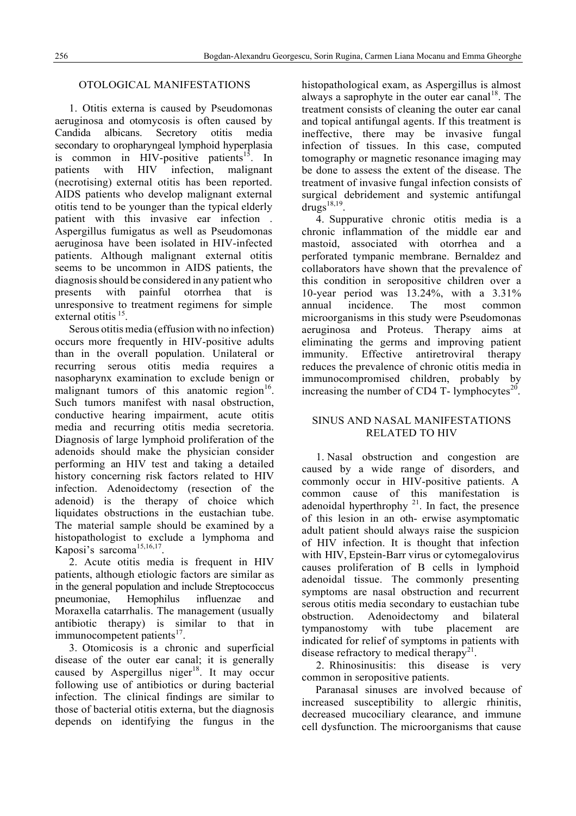# OTOLOGICAL MANIFESTATIONS

1. Otitis externa is caused by Pseudomonas aeruginosa and otomycosis is often caused by Candida albicans. Secretory otitis media secondary to oropharyngeal lymphoid hyperplasia is common in HIV-positive patients<sup>15</sup>. In patients with HIV infection, malignant (necrotising) external otitis has been reported. AIDS patients who develop malignant external otitis tend to be younger than the typical elderly patient with this invasive ear infection . Aspergillus fumigatus as well as Pseudomonas aeruginosa have been isolated in HIV-infected patients. Although malignant external otitis seems to be uncommon in AIDS patients, the diagnosis should be considered in any patient who presents with painful otorrhea that is unresponsive to treatment regimens for simple external otitis <sup>15</sup>.

Serous otitis media (effusion with no infection) occurs more frequently in HIV-positive adults than in the overall population. Unilateral or recurring serous otitis media requires a nasopharynx examination to exclude benign or malignant tumors of this anatomic region $16$ . Such tumors manifest with nasal obstruction, conductive hearing impairment, acute otitis media and recurring otitis media secretoria. Diagnosis of large lymphoid proliferation of the adenoids should make the physician consider performing an HIV test and taking a detailed history concerning risk factors related to HIV infection. Adenoidectomy (resection of the adenoid) is the therapy of choice which liquidates obstructions in the eustachian tube. The material sample should be examined by a histopathologist to exclude a lymphoma and Kaposi's sarcoma<sup>15,16,17</sup>.

2. Acute otitis media is frequent in HIV patients, although etiologic factors are similar as in the general population and include Streptococcus pneumoniae, Hemophilus influenzae and Moraxella catarrhalis. The management (usually antibiotic therapy) is similar to that in immunocompetent patients $17$ .

3. Otomicosis is a chronic and superficial disease of the outer ear canal; it is generally caused by Aspergillus niger<sup>18</sup>. It may occur following use of antibiotics or during bacterial infection. The clinical findings are similar to those of bacterial otitis externa, but the diagnosis depends on identifying the fungus in the histopathological exam, as Aspergillus is almost always a saprophyte in the outer ear canal<sup>18</sup>. The treatment consists of cleaning the outer ear canal and topical antifungal agents. If this treatment is ineffective, there may be invasive fungal infection of tissues. In this case, computed tomography or magnetic resonance imaging may be done to assess the extent of the disease. The treatment of invasive fungal infection consists of surgical debridement and systemic antifungal  $\overline{drugs}^{18,19}$ .

4. Suppurative chronic otitis media is a chronic inflammation of the middle ear and mastoid, associated with otorrhea and a perforated tympanic membrane. Bernaldez and collaborators have shown that the prevalence of this condition in seropositive children over a 10-year period was 13.24%, with a 3.31% annual incidence. The most common microorganisms in this study were Pseudomonas aeruginosa and Proteus. Therapy aims at eliminating the germs and improving patient immunity. Effective antiretroviral therapy reduces the prevalence of chronic otitis media in immunocompromised children, probably by increasing the number of CD4 T- lymphocytes $^{20}$ .

# SINUS AND NASAL MANIFESTATIONS RELATED TO HIV

1. Nasal obstruction and congestion are caused by a wide range of disorders, and commonly occur in HIV-positive patients. A common cause of this manifestation is adenoidal hyperthrophy  $21$ . In fact, the presence of this lesion in an oth- erwise asymptomatic adult patient should always raise the suspicion of HIV infection. It is thought that infection with HIV, Epstein-Barr virus or cytomegalovirus causes proliferation of B cells in lymphoid adenoidal tissue. The commonly presenting symptoms are nasal obstruction and recurrent serous otitis media secondary to eustachian tube obstruction. Adenoidectomy and bilateral tympanostomy with tube placement are indicated for relief of symptoms in patients with disease refractory to medical therapy<sup>21</sup>.

2. Rhinosinusitis: this disease is very common in seropositive patients.

 Paranasal sinuses are involved because of increased susceptibility to allergic rhinitis, decreased mucociliary clearance, and immune cell dysfunction. The microorganisms that cause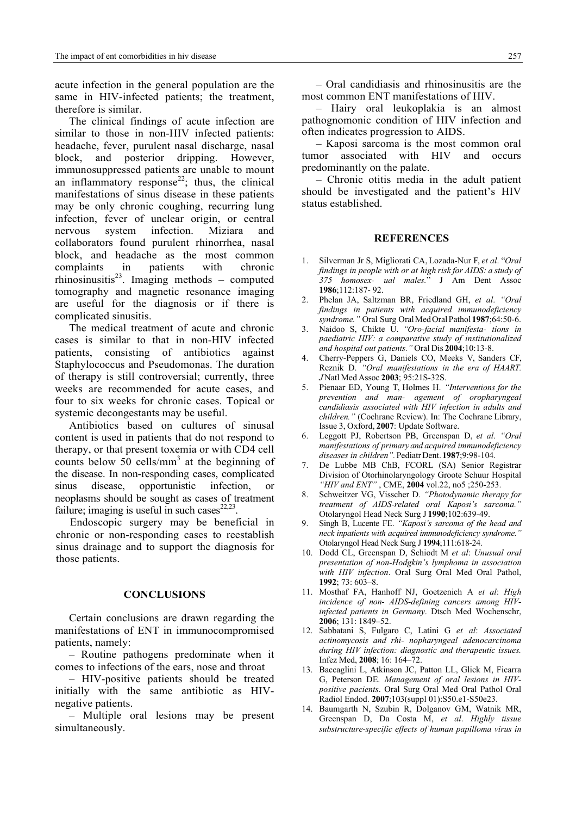acute infection in the general population are the same in HIV-infected patients; the treatment, therefore is similar.

The clinical findings of acute infection are similar to those in non-HIV infected patients: headache, fever, purulent nasal discharge, nasal block, and posterior dripping. However, immunosuppressed patients are unable to mount an inflammatory response<sup>22</sup>; thus, the clinical manifestations of sinus disease in these patients may be only chronic coughing, recurring lung infection, fever of unclear origin, or central nervous system infection. Miziara and collaborators found purulent rhinorrhea, nasal block, and headache as the most common complaints in patients with chronic rhinosinusitis<sup>23</sup>. Imaging methods – computed tomography and magnetic resonance imaging are useful for the diagnosis or if there is complicated sinusitis.

The medical treatment of acute and chronic cases is similar to that in non-HIV infected patients, consisting of antibiotics against Staphylococcus and Pseudomonas. The duration of therapy is still controversial; currently, three weeks are recommended for acute cases, and four to six weeks for chronic cases. Topical or systemic decongestants may be useful.

Antibiotics based on cultures of sinusal content is used in patients that do not respond to therapy, or that present toxemia or with CD4 cell counts below  $50$  cells/mm<sup>3</sup> at the beginning of the disease. In non-responding cases, complicated sinus disease, opportunistic infection, or neoplasms should be sought as cases of treatment failure; imaging is useful in such cases $22,23$ .

Endoscopic surgery may be beneficial in chronic or non-responding cases to reestablish sinus drainage and to support the diagnosis for those patients.

#### **CONCLUSIONS**

Certain conclusions are drawn regarding the manifestations of ENT in immunocompromised patients, namely:

– Routine pathogens predominate when it comes to infections of the ears, nose and throat

– HIV-positive patients should be treated initially with the same antibiotic as HIVnegative patients.

– Multiple oral lesions may be present simultaneously.

– Oral candidiasis and rhinosinusitis are the most common ENT manifestations of HIV.

– Hairy oral leukoplakia is an almost pathognomonic condition of HIV infection and often indicates progression to AIDS.

– Kaposi sarcoma is the most common oral tumor associated with HIV and occurs predominantly on the palate.

– Chronic otitis media in the adult patient should be investigated and the patient's HIV status established.

#### **REFERENCES**

- 1. Silverman Jr S, Migliorati CA, Lozada-Nur F, *et al*. "*Oral findings in people with or at high risk for AIDS: a study of 375 homosex- ual males.*" J Am Dent Assoc **1986**;112:187- 92.
- 2. Phelan JA, Saltzman BR, Friedland GH, *et al*. *"Oral findings in patients with acquired immunodeficiency syndrome."* Oral Surg Oral Med Oral Pathol **1987**;64:50-6.
- 3. Naidoo S, Chikte U. *"Oro-facial manifesta- tions in paediatric HIV: a comparative study of institutionalized and hospital out patients."* Oral Dis **2004**;10:13-8.
- 4. Cherry-Peppers G, Daniels CO, Meeks V, Sanders CF, Reznik D. *"Oral manifestations in the era of HAART. J* Natl Med Assoc **2003**; 95:21S-32S.
- 5. Pienaar ED, Young T, Holmes H. *"Interventions for the prevention and man- agement of oropharyngeal candidiasis associated with HIV infection in adults and children."* (Cochrane Review). In: The Cochrane Library, Issue 3, Oxford, **2007**: Update Software.
- 6. Leggott PJ, Robertson PB, Greenspan D, *et al*. *"Oral manifestations of primary and acquired immunodeficiency diseases in children".* Pediatr Dent. **1987**;9:98-104.
- 7. De Lubbe MB ChB, FCORL (SA) Senior Registrar Division of Otorhinolaryngology Groote Schuur Hospital *"HIV and ENT"* , CME, **2004** vol.22, no5 ;250-253.
- 8. Schweitzer VG, Visscher D. *"Photodynamic therapy for treatment of AIDS-related oral Kaposi's sarcoma."* Otolaryngol Head Neck Surg J **1990**;102:639-49.
- 9. Singh B, Lucente FE. *"Kaposi's sarcoma of the head and neck inpatients with acquired immunodeficiency syndrome."* Otolaryngol Head Neck Surg J **1994**;111:618-24.
- 10. Dodd CL, Greenspan D, Schiodt M *et al*: *Unusual oral presentation of non-Hodgkin's lymphoma in association with HIV infection*. Oral Surg Oral Med Oral Pathol, **1992**; 73: 603–8.
- 11. Mosthaf FA, Hanhoff NJ, Goetzenich A *et al*: *High incidence of non- AIDS-defining cancers among HIVinfected patients in Germany*. Dtsch Med Wochenschr, **2006**; 131: 1849–52.
- 12. Sabbatani S, Fulgaro C, Latini G *et al*: *Associated actinomycosis and rhi- nopharyngeal adenocarcinoma during HIV infection: diagnostic and therapeutic issues.* Infez Med, **2008**; 16: 164–72.
- 13. Baccaglini L, Atkinson JC, Patton LL, Glick M, Ficarra G, Peterson DE. *Management of oral lesions in HIVpositive pacients*. Oral Surg Oral Med Oral Pathol Oral Radiol Endod. **2007**;103(suppl 01):S50.e1-S50e23.
- 14. Baumgarth N, Szubin R, Dolganov GM, Watnik MR, Greenspan D, Da Costa M, *et al*. *Highly tissue substructure-specific effects of human papilloma virus in*